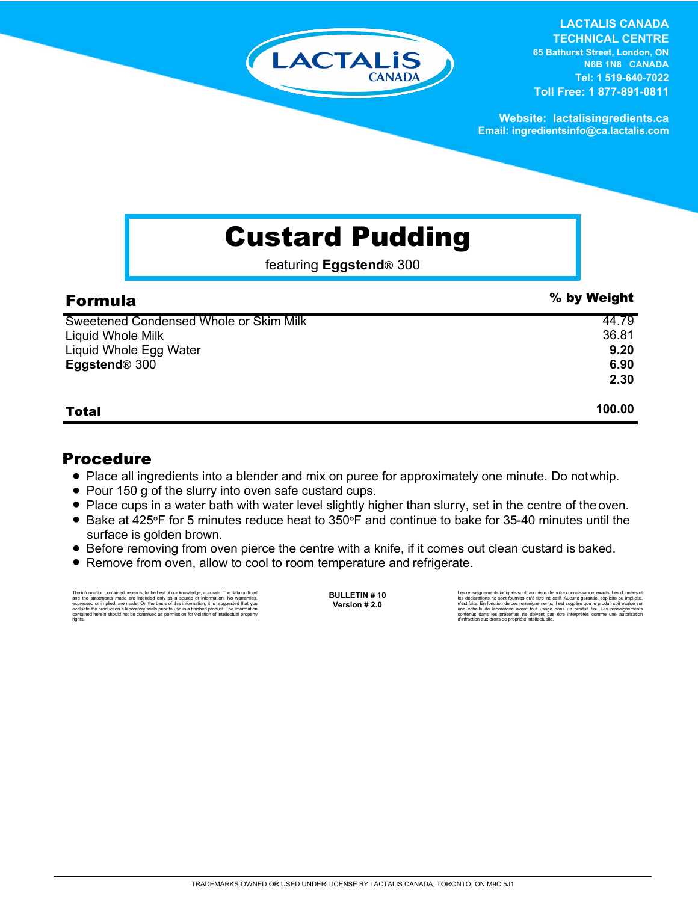

**LACTALIS CANADA TECHNICAL CENTRE 65 Bathurst Street, London, ON N6B 1N8 CANADA**

**Tel: 1 519-640-7022 Toll Free: 1 877-891-0811**

**Website: lactalisingredients.ca Email: ingredientsinfo@ca.lactalis.com**

## Custard Pudding

featuring **Eggstend**® 300

| <b>Formula</b>                         | % by Weight |
|----------------------------------------|-------------|
| Sweetened Condensed Whole or Skim Milk | 44.79       |
| Liquid Whole Milk                      | 36.81       |
| Liquid Whole Egg Water                 | 9.20        |
| Eggstend <sup>®</sup> 300              | 6.90        |
|                                        | 2.30        |
| <b>Total</b>                           | 100.00      |

## Procedure

- Place all ingredients into a blender and mix on puree for approximately one minute. Do not whip.
- Pour 150 g of the slurry into oven safe custard cups.
- Place cups in a water bath with water level slightly higher than slurry, set in the centre of the oven.
- = Bake at 425**°**F for 5 minutes reduce heat to 350**°**F and continue to bake for 35-40 minutes until the surface is golden brown.
- Before removing from oven pierce the centre with a knife, if it comes out clean custard is baked.
- Remove from oven, allow to cool to room temperature and refrigerate.

The information contained herein is, to the best of our knowledge, accurate. The data cutlined the statements made are intended only as a source of information. No warranties, expressed or implied, are made. On the basis o

**BULLETIN # 10 Version # 2.0**

Les renseignements indiqués sont, au mieux de notre connaissance, exacts. Les données et<br>les déclarations ne sont fournies qu'à titre indicatif. Aucune garantie, explicite ou implicite,<br>riest faite. En fonction de ces rens